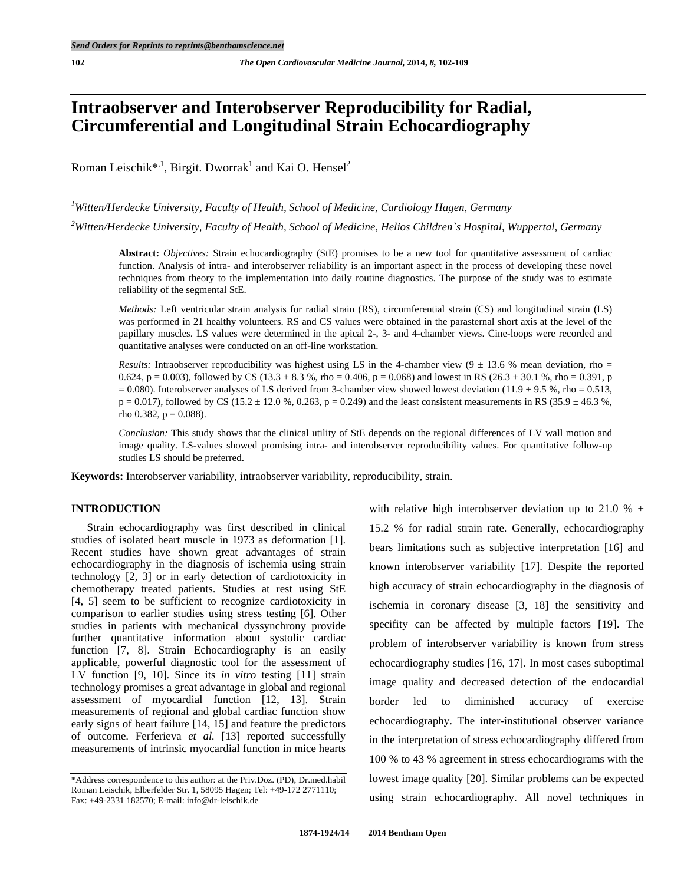# **Intraobserver and Interobserver Reproducibility for Radial, Circumferential and Longitudinal Strain Echocardiography**

Roman Leischik\*<sup>1</sup>, Birgit. Dworrak<sup>1</sup> and Kai O. Hensel<sup>2</sup>

*1 Witten/Herdecke University, Faculty of Health, School of Medicine, Cardiology Hagen, Germany* 

*2 Witten/Herdecke University, Faculty of Health, School of Medicine, Helios Children`s Hospital, Wuppertal, Germany* 

**Abstract:** *Objectives:* Strain echocardiography (StE) promises to be a new tool for quantitative assessment of cardiac function. Analysis of intra- and interobserver reliability is an important aspect in the process of developing these novel techniques from theory to the implementation into daily routine diagnostics. The purpose of the study was to estimate reliability of the segmental StE.

*Methods:* Left ventricular strain analysis for radial strain (RS), circumferential strain (CS) and longitudinal strain (LS) was performed in 21 healthy volunteers. RS and CS values were obtained in the parasternal short axis at the level of the papillary muscles. LS values were determined in the apical 2-, 3- and 4-chamber views. Cine-loops were recorded and quantitative analyses were conducted on an off-line workstation.

*Results:* Intraobserver reproducibility was highest using LS in the 4-chamber view  $(9 \pm 13.6 \%$  mean deviation, rho = 0.624, p = 0.003), followed by CS (13.3  $\pm$  8.3 %, rho = 0.406, p = 0.068) and lowest in RS (26.3  $\pm$  30.1 %, rho = 0.391, p  $= 0.080$ ). Interobserver analyses of LS derived from 3-chamber view showed lowest deviation (11.9  $\pm$  9.5 %, rho = 0.513,  $p = 0.017$ ), followed by CS (15.2 ± 12.0 %, 0.263, p = 0.249) and the least consistent measurements in RS (35.9 ± 46.3 %, rho 0.382,  $p = 0.088$ ).

*Conclusion:* This study shows that the clinical utility of StE depends on the regional differences of LV wall motion and image quality. LS-values showed promising intra- and interobserver reproducibility values. For quantitative follow-up studies LS should be preferred.

**Keywords:** Interobserver variability, intraobserver variability, reproducibility, strain.

# **INTRODUCTION**

 Strain echocardiography was first described in clinical studies of isolated heart muscle in 1973 as deformation [1]. Recent studies have shown great advantages of strain echocardiography in the diagnosis of ischemia using strain technology [2, 3] or in early detection of cardiotoxicity in chemotherapy treated patients. Studies at rest using StE [4, 5] seem to be sufficient to recognize cardiotoxicity in comparison to earlier studies using stress testing [6]. Other studies in patients with mechanical dyssynchrony provide further quantitative information about systolic cardiac function [7, 8]. Strain Echocardiography is an easily applicable, powerful diagnostic tool for the assessment of LV function [9, 10]. Since its *in vitro* testing [11] strain technology promises a great advantage in global and regional assessment of myocardial function [12, 13]. Strain measurements of regional and global cardiac function show early signs of heart failure [14, 15] and feature the predictors of outcome. Ferferieva *et al.* [13] reported successfully measurements of intrinsic myocardial function in mice hearts

with relative high interobserver deviation up to 21.0 %  $\pm$ 15.2 % for radial strain rate. Generally, echocardiography bears limitations such as subjective interpretation [16] and known interobserver variability [17]. Despite the reported high accuracy of strain echocardiography in the diagnosis of ischemia in coronary disease [3, 18] the sensitivity and specifity can be affected by multiple factors [19]. The problem of interobserver variability is known from stress echocardiography studies [16, 17]. In most cases suboptimal image quality and decreased detection of the endocardial border led to diminished accuracy of exercise echocardiography. The inter-institutional observer variance in the interpretation of stress echocardiography differed from 100 % to 43 % agreement in stress echocardiograms with the lowest image quality [20]. Similar problems can be expected using strain echocardiography. All novel techniques in

<sup>\*</sup>Address correspondence to this author: at the Priv.Doz. (PD), Dr.med.habil Roman Leischik, Elberfelder Str. 1, 58095 Hagen; Tel: +49-172 2771110; Fax: +49-2331 182570; E-mail: info@dr-leischik.de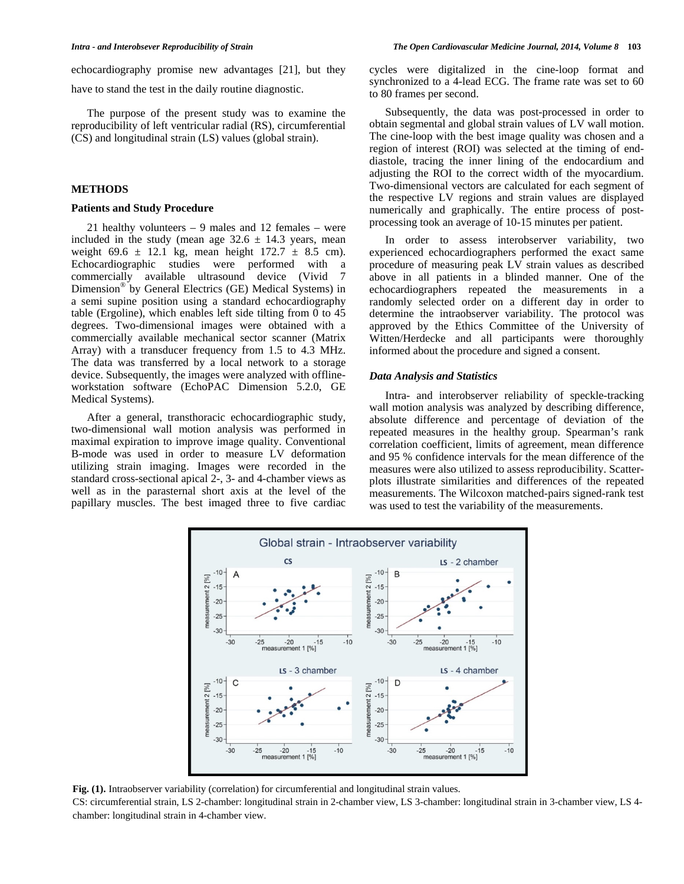echocardiography promise new advantages [21], but they

have to stand the test in the daily routine diagnostic.

 The purpose of the present study was to examine the reproducibility of left ventricular radial (RS), circumferential (CS) and longitudinal strain (LS) values (global strain).

# **METHODS**

## **Patients and Study Procedure**

 21 healthy volunteers – 9 males and 12 females – were included in the study (mean age  $32.6 \pm 14.3$  years, mean weight 69.6  $\pm$  12.1 kg, mean height 172.7  $\pm$  8.5 cm). Echocardiographic studies were performed with a commercially available ultrasound device (Vivid 7 Dimension® by General Electrics (GE) Medical Systems) in a semi supine position using a standard echocardiography table (Ergoline), which enables left side tilting from 0 to 45 degrees. Two-dimensional images were obtained with a commercially available mechanical sector scanner (Matrix Array) with a transducer frequency from 1.5 to 4.3 MHz. The data was transferred by a local network to a storage device. Subsequently, the images were analyzed with offlineworkstation software (EchoPAC Dimension 5.2.0, GE Medical Systems).

 After a general, transthoracic echocardiographic study, two-dimensional wall motion analysis was performed in maximal expiration to improve image quality. Conventional B-mode was used in order to measure LV deformation utilizing strain imaging. Images were recorded in the standard cross-sectional apical 2-, 3- and 4-chamber views as well as in the parasternal short axis at the level of the papillary muscles. The best imaged three to five cardiac

cycles were digitalized in the cine-loop format and synchronized to a 4-lead ECG. The frame rate was set to 60 to 80 frames per second.

 Subsequently, the data was post-processed in order to obtain segmental and global strain values of LV wall motion. The cine-loop with the best image quality was chosen and a region of interest (ROI) was selected at the timing of enddiastole, tracing the inner lining of the endocardium and adjusting the ROI to the correct width of the myocardium. Two-dimensional vectors are calculated for each segment of the respective LV regions and strain values are displayed numerically and graphically. The entire process of postprocessing took an average of 10-15 minutes per patient.

 In order to assess interobserver variability, two experienced echocardiographers performed the exact same procedure of measuring peak LV strain values as described above in all patients in a blinded manner. One of the echocardiographers repeated the measurements in a randomly selected order on a different day in order to determine the intraobserver variability. The protocol was approved by the Ethics Committee of the University of Witten/Herdecke and all participants were thoroughly informed about the procedure and signed a consent.

#### *Data Analysis and Statistics*

 Intra- and interobserver reliability of speckle-tracking wall motion analysis was analyzed by describing difference, absolute difference and percentage of deviation of the repeated measures in the healthy group. Spearman's rank correlation coefficient, limits of agreement, mean difference and 95 % confidence intervals for the mean difference of the measures were also utilized to assess reproducibility. Scatterplots illustrate similarities and differences of the repeated measurements. The Wilcoxon matched-pairs signed-rank test was used to test the variability of the measurements.



**Fig. (1).** Intraobserver variability (correlation) for circumferential and longitudinal strain values.

CS: circumferential strain, LS 2-chamber: longitudinal strain in 2-chamber view, LS 3-chamber: longitudinal strain in 3-chamber view, LS 4 chamber: longitudinal strain in 4-chamber view.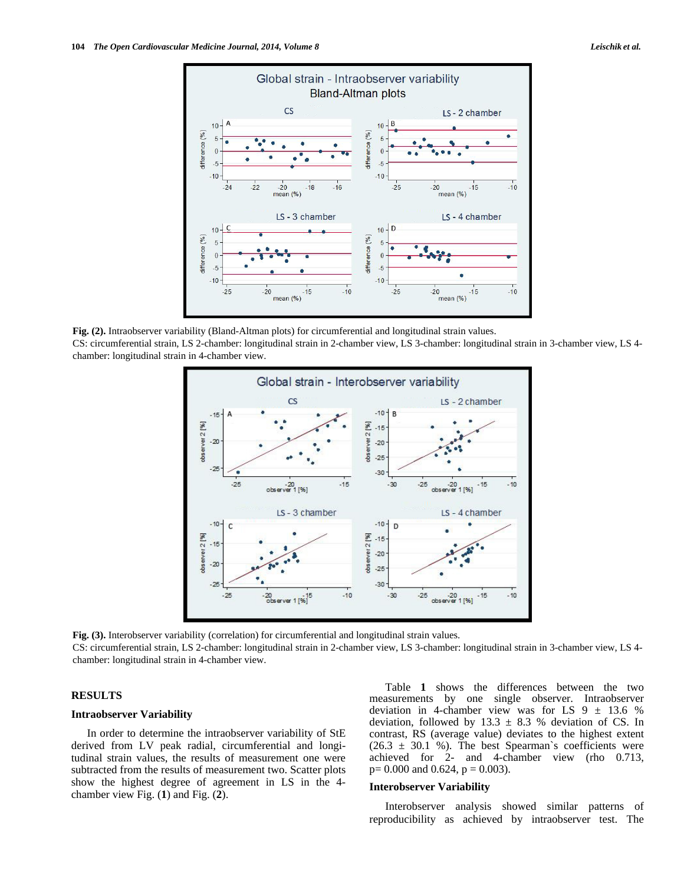

**Fig. (2).** Intraobserver variability (Bland-Altman plots) for circumferential and longitudinal strain values. CS: circumferential strain, LS 2-chamber: longitudinal strain in 2-chamber view, LS 3-chamber: longitudinal strain in 3-chamber view, LS 4 chamber: longitudinal strain in 4-chamber view.



**Fig. (3).** Interobserver variability (correlation) for circumferential and longitudinal strain values.

CS: circumferential strain, LS 2-chamber: longitudinal strain in 2-chamber view, LS 3-chamber: longitudinal strain in 3-chamber view, LS 4 chamber: longitudinal strain in 4-chamber view.

#### **RESULTS**

#### **Intraobserver Variability**

 In order to determine the intraobserver variability of StE derived from LV peak radial, circumferential and longitudinal strain values, the results of measurement one were subtracted from the results of measurement two. Scatter plots show the highest degree of agreement in LS in the 4 chamber view Fig. (**1**) and Fig. (**2**).

 Table **1** shows the differences between the two measurements by one single observer. Intraobserver deviation in 4-chamber view was for LS  $9 \pm 13.6$  % deviation, followed by  $13.3 \pm 8.3$  % deviation of CS. In contrast, RS (average value) deviates to the highest extent  $(26.3 \pm 30.1 \%)$ . The best Spearman's coefficients were achieved for 2- and 4-chamber view (rho 0.713,  $p= 0.000$  and 0.624,  $p = 0.003$ ).

#### **Interobserver Variability**

 Interobserver analysis showed similar patterns of reproducibility as achieved by intraobserver test. The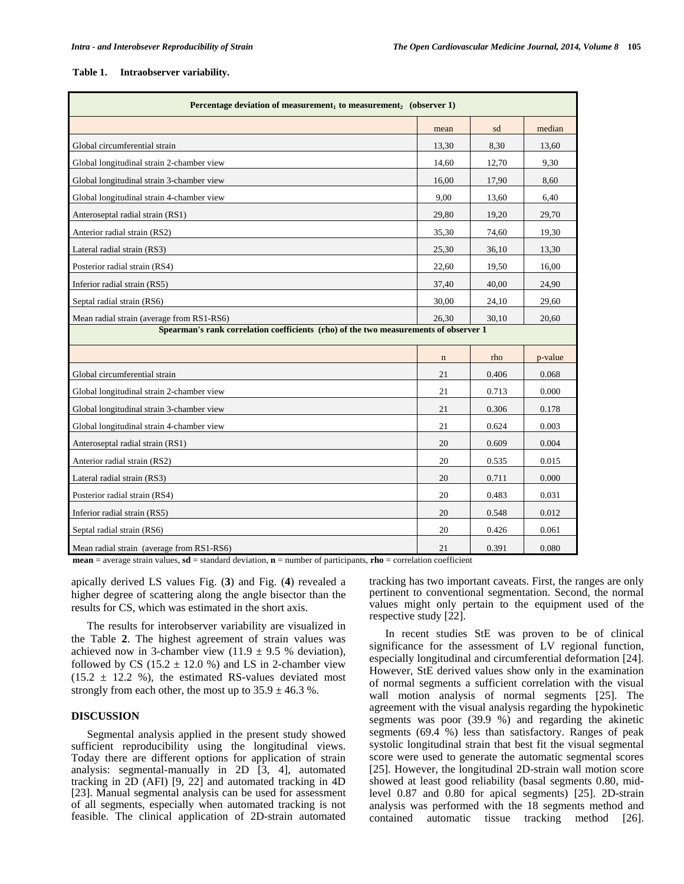#### **Table 1. Intraobserver variability.**

| Percentage deviation of measurement, to measurement, (observer 1)                    |             |       |         |  |  |
|--------------------------------------------------------------------------------------|-------------|-------|---------|--|--|
|                                                                                      | mean        | sd    | median  |  |  |
| Global circumferential strain                                                        | 13,30       | 8,30  | 13.60   |  |  |
| Global longitudinal strain 2-chamber view                                            | 14,60       | 12,70 | 9,30    |  |  |
| Global longitudinal strain 3-chamber view                                            | 16.00       | 17,90 | 8.60    |  |  |
| Global longitudinal strain 4-chamber view                                            | 9,00        | 13,60 | 6.40    |  |  |
| Anteroseptal radial strain (RS1)                                                     | 29,80       | 19.20 | 29,70   |  |  |
| Anterior radial strain (RS2)                                                         | 35,30       | 74,60 | 19,30   |  |  |
| Lateral radial strain (RS3)                                                          | 25,30       | 36,10 | 13,30   |  |  |
| Posterior radial strain (RS4)                                                        | 22,60       | 19,50 | 16,00   |  |  |
| Inferior radial strain (RS5)                                                         | 37,40       | 40,00 | 24,90   |  |  |
| Septal radial strain (RS6)                                                           | 30,00       | 24,10 | 29,60   |  |  |
| Mean radial strain (average from RS1-RS6)                                            | 26,30       | 30,10 | 20,60   |  |  |
| Spearman's rank correlation coefficients (rho) of the two measurements of observer 1 |             |       |         |  |  |
|                                                                                      | $\mathbf n$ | rho   | p-value |  |  |
| Global circumferential strain                                                        | 21          | 0.406 | 0.068   |  |  |
| Global longitudinal strain 2-chamber view                                            | 21          | 0.713 | 0.000   |  |  |
| Global longitudinal strain 3-chamber view                                            | 21          | 0.306 | 0.178   |  |  |
| Global longitudinal strain 4-chamber view                                            | 21          | 0.624 | 0.003   |  |  |
| Anteroseptal radial strain (RS1)                                                     | 20          | 0.609 | 0.004   |  |  |
| Anterior radial strain (RS2)                                                         | 20          | 0.535 | 0.015   |  |  |
| Lateral radial strain (RS3)                                                          | 20          | 0.711 | 0.000   |  |  |
| Posterior radial strain (RS4)                                                        | 20          | 0.483 | 0.031   |  |  |
| Inferior radial strain (RS5)                                                         | 20          | 0.548 | 0.012   |  |  |
| Septal radial strain (RS6)                                                           | 20          | 0.426 | 0.061   |  |  |
| Mean radial strain (average from RS1-RS6)                                            | 21          | 0.391 | 0.080   |  |  |

**mean** = average strain values, **sd** = standard deviation, **n** = number of participants, **rho** = correlation coefficient

apically derived LS values Fig. (**3**) and Fig. (**4**) revealed a higher degree of scattering along the angle bisector than the results for CS, which was estimated in the short axis.

 The results for interobserver variability are visualized in the Table **2**. The highest agreement of strain values was achieved now in 3-chamber view (11.9  $\pm$  9.5 % deviation), followed by CS (15.2  $\pm$  12.0 %) and LS in 2-chamber view  $(15.2 \pm 12.2 \%)$ , the estimated RS-values deviated most strongly from each other, the most up to  $35.9 \pm 46.3$  %.

## **DISCUSSION**

 Segmental analysis applied in the present study showed sufficient reproducibility using the longitudinal views. Today there are different options for application of strain analysis: segmental-manually in  $2D$   $\overline{3}$ , 4, automated tracking in 2D (AFI) [9, 22] and automated tracking in 4D [23]. Manual segmental analysis can be used for assessment of all segments, especially when automated tracking is not feasible. The clinical application of 2D-strain automated

tracking has two important caveats. First, the ranges are only pertinent to conventional segmentation. Second, the normal values might only pertain to the equipment used of the respective study [22].

 In recent studies StE was proven to be of clinical significance for the assessment of LV regional function, especially longitudinal and circumferential deformation [24]. However, StE derived values show only in the examination of normal segments a sufficient correlation with the visual wall motion analysis of normal segments [25]. The agreement with the visual analysis regarding the hypokinetic segments was poor (39.9 %) and regarding the akinetic segments (69.4 %) less than satisfactory. Ranges of peak systolic longitudinal strain that best fit the visual segmental score were used to generate the automatic segmental scores [25]. However, the longitudinal 2D-strain wall motion score showed at least good reliability (basal segments 0.80, midlevel 0.87 and 0.80 for apical segments) [25]. 2D-strain analysis was performed with the 18 segments method and contained automatic tissue tracking method [26].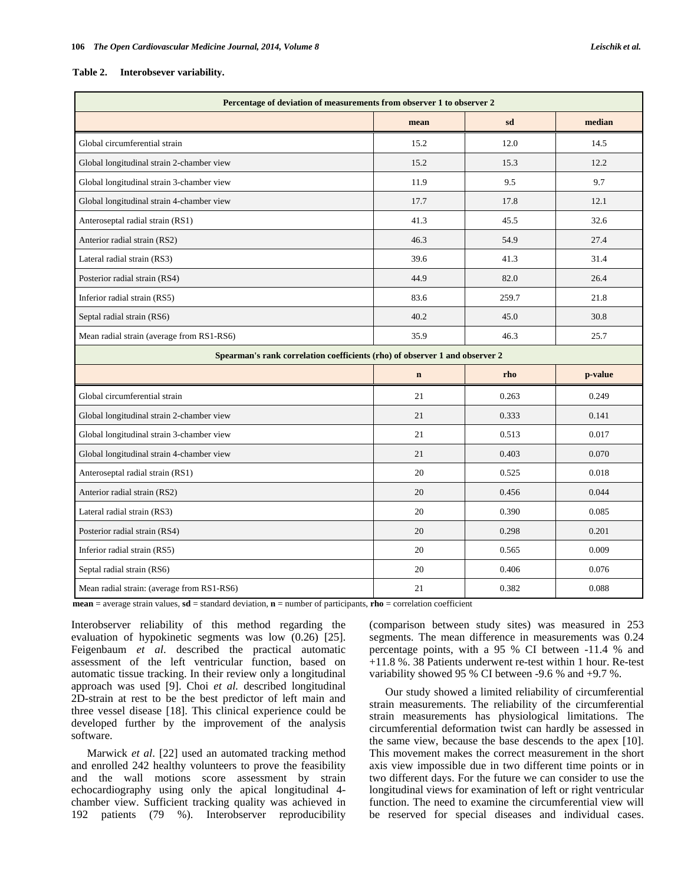#### **Table 2. Interobsever variability.**

| Percentage of deviation of measurements from observer 1 to observer 2       |             |       |         |  |  |
|-----------------------------------------------------------------------------|-------------|-------|---------|--|--|
|                                                                             | mean        | sd    | median  |  |  |
| Global circumferential strain                                               | 15.2        | 12.0  | 14.5    |  |  |
| Global longitudinal strain 2-chamber view                                   | 15.2        | 15.3  | 12.2    |  |  |
| Global longitudinal strain 3-chamber view                                   | 11.9        | 9.5   | 9.7     |  |  |
| Global longitudinal strain 4-chamber view                                   | 17.7        | 17.8  | 12.1    |  |  |
| Anteroseptal radial strain (RS1)                                            | 41.3        | 45.5  | 32.6    |  |  |
| Anterior radial strain (RS2)                                                | 46.3        | 54.9  | 27.4    |  |  |
| Lateral radial strain (RS3)                                                 | 39.6        | 41.3  | 31.4    |  |  |
| Posterior radial strain (RS4)                                               | 44.9        | 82.0  | 26.4    |  |  |
| Inferior radial strain (RS5)                                                | 83.6        | 259.7 | 21.8    |  |  |
| Septal radial strain (RS6)                                                  | 40.2        | 45.0  | 30.8    |  |  |
| Mean radial strain (average from RS1-RS6)                                   | 35.9        | 46.3  | 25.7    |  |  |
| Spearman's rank correlation coefficients (rho) of observer 1 and observer 2 |             |       |         |  |  |
|                                                                             | $\mathbf n$ | rho   | p-value |  |  |
| Global circumferential strain                                               | 21          | 0.263 | 0.249   |  |  |
| Global longitudinal strain 2-chamber view                                   | 21          | 0.333 | 0.141   |  |  |
| Global longitudinal strain 3-chamber view                                   | 21          | 0.513 | 0.017   |  |  |
| Global longitudinal strain 4-chamber view                                   | 21          | 0.403 | 0.070   |  |  |
| Anteroseptal radial strain (RS1)                                            | 20          | 0.525 | 0.018   |  |  |
| Anterior radial strain (RS2)                                                | 20          | 0.456 | 0.044   |  |  |
| Lateral radial strain (RS3)                                                 | 20          | 0.390 | 0.085   |  |  |
| Posterior radial strain (RS4)                                               | 20          | 0.298 | 0.201   |  |  |
| Inferior radial strain (RS5)                                                | 20          | 0.565 | 0.009   |  |  |
| Septal radial strain (RS6)                                                  | 20          | 0.406 | 0.076   |  |  |
| Mean radial strain: (average from RS1-RS6)                                  | 21          | 0.382 | 0.088   |  |  |

**mean** = average strain values, **sd** = standard deviation, **n** = number of participants, **rho** = correlation coefficient

Interobserver reliability of this method regarding the evaluation of hypokinetic segments was low (0.26) [25]. Feigenbaum *et al*. described the practical automatic assessment of the left ventricular function, based on automatic tissue tracking. In their review only a longitudinal approach was used [9]. Choi *et al.* described longitudinal 2D-strain at rest to be the best predictor of left main and three vessel disease [18]. This clinical experience could be developed further by the improvement of the analysis software.

 Marwick *et al*. [22] used an automated tracking method and enrolled 242 healthy volunteers to prove the feasibility and the wall motions score assessment by strain echocardiography using only the apical longitudinal 4 chamber view. Sufficient tracking quality was achieved in 192 patients (79 %). Interobserver reproducibility

(comparison between study sites) was measured in 253 segments. The mean difference in measurements was 0.24 percentage points, with a 95 % CI between -11.4 % and +11.8 %. 38 Patients underwent re-test within 1 hour. Re-test variability showed 95 % CI between -9.6 % and +9.7 %.

 Our study showed a limited reliability of circumferential strain measurements. The reliability of the circumferential strain measurements has physiological limitations. The circumferential deformation twist can hardly be assessed in the same view, because the base descends to the apex [10]. This movement makes the correct measurement in the short axis view impossible due in two different time points or in two different days. For the future we can consider to use the longitudinal views for examination of left or right ventricular function. The need to examine the circumferential view will be reserved for special diseases and individual cases.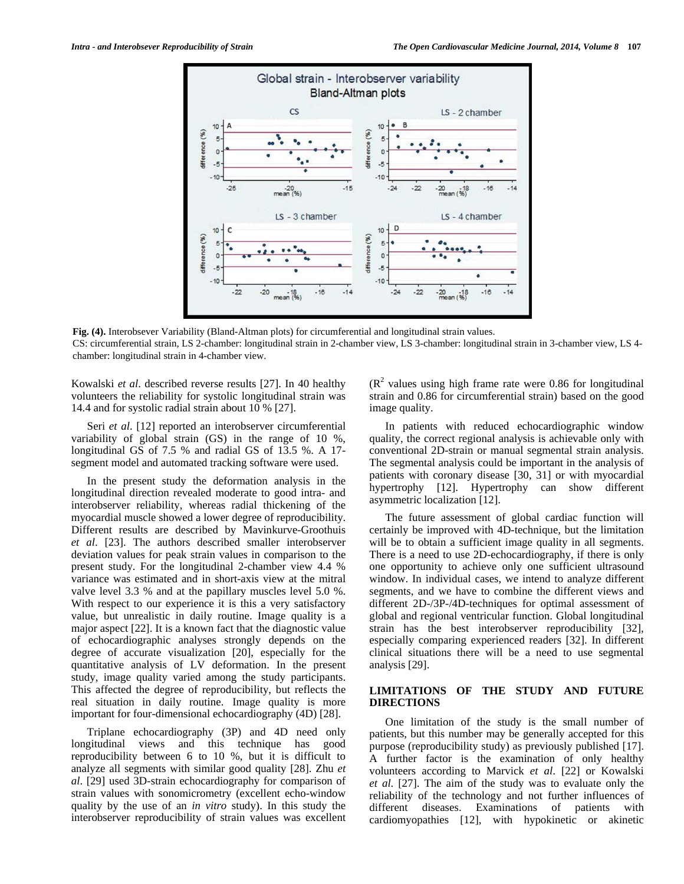

**Fig. (4).** Interobsever Variability (Bland-Altman plots) for circumferential and longitudinal strain values. CS: circumferential strain, LS 2-chamber: longitudinal strain in 2-chamber view, LS 3-chamber: longitudinal strain in 3-chamber view, LS 4-

Kowalski *et al*. described reverse results [27]. In 40 healthy volunteers the reliability for systolic longitudinal strain was 14.4 and for systolic radial strain about 10 % [27].

chamber: longitudinal strain in 4-chamber view.

 Seri *et al*. [12] reported an interobserver circumferential variability of global strain (GS) in the range of 10 %, longitudinal GS of 7.5 % and radial GS of 13.5 %. A 17 segment model and automated tracking software were used.

 In the present study the deformation analysis in the longitudinal direction revealed moderate to good intra- and interobserver reliability, whereas radial thickening of the myocardial muscle showed a lower degree of reproducibility. Different results are described by Mavinkurve-Groothuis *et al*. [23]. The authors described smaller interobserver deviation values for peak strain values in comparison to the present study. For the longitudinal 2-chamber view 4.4 % variance was estimated and in short-axis view at the mitral valve level 3.3 % and at the papillary muscles level 5.0 %. With respect to our experience it is this a very satisfactory value, but unrealistic in daily routine. Image quality is a major aspect [22]. It is a known fact that the diagnostic value of echocardiographic analyses strongly depends on the degree of accurate visualization [20], especially for the quantitative analysis of LV deformation. In the present study, image quality varied among the study participants. This affected the degree of reproducibility, but reflects the real situation in daily routine. Image quality is more important for four-dimensional echocardiography (4D) [28].

 Triplane echocardiography (3P) and 4D need only longitudinal views and this technique has good reproducibility between 6 to 10 %, but it is difficult to analyze all segments with similar good quality [28]. Zhu *et al*. [29] used 3D-strain echocardiography for comparison of strain values with sonomicrometry (excellent echo-window quality by the use of an *in vitro* study). In this study the interobserver reproducibility of strain values was excellent

 $(R<sup>2</sup>$  values using high frame rate were 0.86 for longitudinal strain and 0.86 for circumferential strain) based on the good image quality.

 In patients with reduced echocardiographic window quality, the correct regional analysis is achievable only with conventional 2D-strain or manual segmental strain analysis. The segmental analysis could be important in the analysis of patients with coronary disease [30, 31] or with myocardial hypertrophy [12]. Hypertrophy can show different asymmetric localization [12].

 The future assessment of global cardiac function will certainly be improved with 4D-technique, but the limitation will be to obtain a sufficient image quality in all segments. There is a need to use 2D-echocardiography, if there is only one opportunity to achieve only one sufficient ultrasound window. In individual cases, we intend to analyze different segments, and we have to combine the different views and different 2D-/3P-/4D-techniques for optimal assessment of global and regional ventricular function. Global longitudinal strain has the best interobserver reproducibility [32], especially comparing experienced readers [32]. In different clinical situations there will be a need to use segmental analysis [29].

# **LIMITATIONS OF THE STUDY AND FUTURE DIRECTIONS**

 One limitation of the study is the small number of patients, but this number may be generally accepted for this purpose (reproducibility study) as previously published [17]. A further factor is the examination of only healthy volunteers according to Marvick *et al*. [22] or Kowalski *et al*. [27]. The aim of the study was to evaluate only the reliability of the technology and not further influences of different diseases. Examinations of patients with cardiomyopathies [12], with hypokinetic or akinetic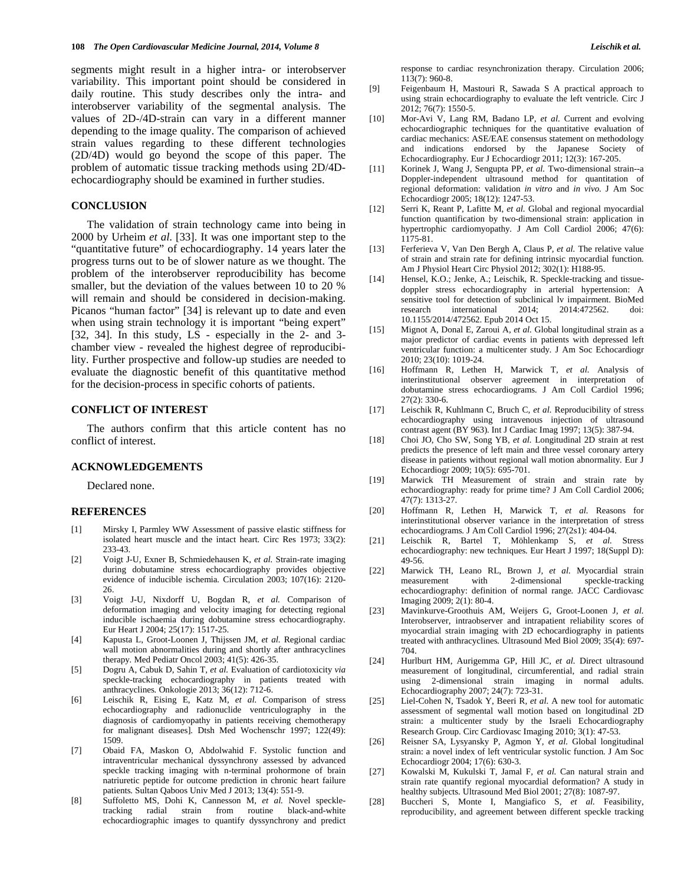segments might result in a higher intra- or interobserver variability. This important point should be considered in daily routine. This study describes only the intra- and interobserver variability of the segmental analysis. The values of 2D-/4D-strain can vary in a different manner depending to the image quality. The comparison of achieved strain values regarding to these different technologies (2D/4D) would go beyond the scope of this paper. The problem of automatic tissue tracking methods using 2D/4Dechocardiography should be examined in further studies.

## **CONCLUSION**

 The validation of strain technology came into being in 2000 by Urheim *et al*. [33]. It was one important step to the "quantitative future" of echocardiography. 14 years later the progress turns out to be of slower nature as we thought. The problem of the interobserver reproducibility has become smaller, but the deviation of the values between 10 to 20 % will remain and should be considered in decision-making. Picanos "human factor" [34] is relevant up to date and even when using strain technology it is important "being expert" [32, 34]. In this study, LS - especially in the 2- and 3 chamber view - revealed the highest degree of reproducibility. Further prospective and follow-up studies are needed to evaluate the diagnostic benefit of this quantitative method for the decision-process in specific cohorts of patients.

#### **CONFLICT OF INTEREST**

 The authors confirm that this article content has no conflict of interest.

## **ACKNOWLEDGEMENTS**

Declared none.

#### **REFERENCES**

- [1] Mirsky I, Parmley WW Assessment of passive elastic stiffness for isolated heart muscle and the intact heart*.* Circ Res 1973; 33(2): 233-43.
- [2] Voigt J-U, Exner B, Schmiedehausen K*, et al.* Strain-rate imaging during dobutamine stress echocardiography provides objective evidence of inducible ischemia*.* Circulation 2003; 107(16): 2120- 26.
- [3] Voigt J-U, Nixdorff U, Bogdan R*, et al.* Comparison of deformation imaging and velocity imaging for detecting regional inducible ischaemia during dobutamine stress echocardiography*.* Eur Heart J 2004; 25(17): 1517-25.
- [4] Kapusta L, Groot-Loonen J, Thijssen JM*, et al.* Regional cardiac wall motion abnormalities during and shortly after anthracyclines therapy*.* Med Pediatr Oncol 2003; 41(5): 426-35.
- [5] Dogru A, Cabuk D, Sahin T*, et al.* Evaluation of cardiotoxicity *via* speckle-tracking echocardiography in patients treated with anthracyclines*.* Onkologie 2013; 36(12): 712-6.
- [6] Leischik R, Eising E, Katz M*, et al.* Comparison of stress echocardiography and radionuclide ventriculography in the diagnosis of cardiomyopathy in patients receiving chemotherapy for malignant diseases]*.* Dtsh Med Wochenschr 1997; 122(49): 1509.
- [7] Obaid FA, Maskon O, Abdolwahid F. Systolic function and intraventricular mechanical dyssynchrony assessed by advanced speckle tracking imaging with n-terminal prohormone of brain natriuretic peptide for outcome prediction in chronic heart failure patients*.* Sultan Qaboos Univ Med J 2013; 13(4): 551-9.
- [8] Suffoletto MS, Dohi K, Cannesson M*, et al.* Novel speckletracking radial strain from routine black-and-white echocardiographic images to quantify dyssynchrony and predict

response to cardiac resynchronization therapy*.* Circulation 2006; 113(7): 960-8.

- [9] Feigenbaum H, Mastouri R, Sawada S A practical approach to using strain echocardiography to evaluate the left ventricle*.* Circ J 2012; 76(7): 1550-5.
- [10] Mor-Avi V, Lang RM, Badano LP*, et al.* Current and evolving echocardiographic techniques for the quantitative evaluation of cardiac mechanics: ASE/EAE consensus statement on methodology and indications endorsed by the Japanese Society of Echocardiography*.* Eur J Echocardiogr 2011; 12(3): 167-205.
- [11] Korinek J, Wang J, Sengupta PP*, et al.* Two-dimensional strain--a Doppler-independent ultrasound method for quantitation of regional deformation: validation *in vitro* and *in vivo.* J Am Soc Echocardiogr 2005; 18(12): 1247-53.
- [12] Serri K, Reant P, Lafitte M*, et al.* Global and regional myocardial function quantification by two-dimensional strain: application in hypertrophic cardiomyopathy*.* J Am Coll Cardiol 2006; 47(6): 1175-81.
- [13] Ferferieva V, Van Den Bergh A, Claus P*, et al.* The relative value of strain and strain rate for defining intrinsic myocardial function*.* Am J Physiol Heart Circ Physiol 2012; 302(1): H188-95.
- [14] Hensel, K.O.; Jenke, A.; Leischik, R. Speckle-tracking and tissuedoppler stress echocardiography in arterial hypertension: A sensitive tool for detection of subclinical lv impairment. BioMed research international 2014; 2014:472562. doi: 10.1155/2014/472562. Epub 2014 Oct 15.
- [15] Mignot A, Donal E, Zaroui A*, et al.* Global longitudinal strain as a major predictor of cardiac events in patients with depressed left ventricular function: a multicenter study*.* J Am Soc Echocardiogr 2010; 23(10): 1019-24.
- [16] Hoffmann R, Lethen H, Marwick T*, et al.* Analysis of interinstitutional observer agreement in interpretation of dobutamine stress echocardiograms*.* J Am Coll Cardiol 1996; 27(2): 330-6.
- [17] Leischik R, Kuhlmann C, Bruch C*, et al.* Reproducibility of stress echocardiography using intravenous injection of ultrasound contrast agent (BY 963)*.* Int J Cardiac Imag 1997; 13(5): 387-94.
- [18] Choi JO, Cho SW, Song YB*, et al.* Longitudinal 2D strain at rest predicts the presence of left main and three vessel coronary artery disease in patients without regional wall motion abnormality*.* Eur J Echocardiogr 2009; 10(5): 695-701.
- [19] Marwick TH Measurement of strain and strain rate by echocardiography: ready for prime time? J Am Coll Cardiol 2006; 47(7): 1313-27.
- [20] Hoffmann R, Lethen H, Marwick T*, et al.* Reasons for interinstitutional observer variance in the interpretation of stress echocardiograms*.* J Am Coll Cardiol 1996; 27(2s1): 404-04.
- [21] Leischik R, Bartel T, Möhlenkamp S*, et al.* Stress echocardiography: new techniques*.* Eur Heart J 1997; 18(Suppl D): 49-56.
- [22] Marwick TH, Leano RL, Brown J*, et al.* Myocardial strain measurement with 2-dimensional speckle-tracking echocardiography: definition of normal range*.* JACC Cardiovasc Imaging 2009; 2(1): 80-4.
- [23] Mavinkurve-Groothuis AM, Weijers G, Groot-Loonen J*, et al.* Interobserver, intraobserver and intrapatient reliability scores of myocardial strain imaging with 2D echocardiography in patients treated with anthracyclines*.* Ultrasound Med Biol 2009; 35(4): 697- 704.
- [24] Hurlburt HM, Aurigemma GP, Hill JC*, et al.* Direct ultrasound measurement of longitudinal, circumferential, and radial strain using 2-dimensional strain imaging in normal adults*.* Echocardiography 2007; 24(7): 723-31.
- [25] Liel-Cohen N, Tsadok Y, Beeri R*, et al.* A new tool for automatic assessment of segmental wall motion based on longitudinal 2D strain: a multicenter study by the Israeli Echocardiography Research Group*.* Circ Cardiovasc Imaging 2010; 3(1): 47-53.
- [26] Reisner SA, Lysyansky P, Agmon Y*, et al.* Global longitudinal strain: a novel index of left ventricular systolic function*.* J Am Soc Echocardiogr 2004; 17(6): 630-3.
- [27] Kowalski M, Kukulski T, Jamal F*, et al.* Can natural strain and strain rate quantify regional myocardial deformation? A study in healthy subjects*.* Ultrasound Med Biol 2001; 27(8): 1087-97.
- [28] Buccheri S, Monte I, Mangiafico S*, et al.* Feasibility, reproducibility, and agreement between different speckle tracking